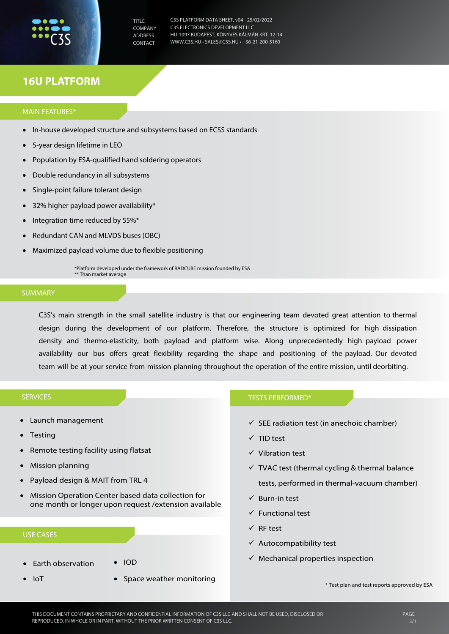

TITLE **COMPANY** ADDRESS CONTACT

C3S PLATFORM DATA SHEET, v04 - 25/02/2022 C3S ELECTRONICS DEVELOPMENT LLC HU-1097 BUDAPEST, KÖNYVES KÁLMÁN KRT. 12-14. WWW.C3S.HU • SALES@C3S.HU • +36-21-200-5160

# **16U PLATFORM**

## MAIN FEATURES\*

- In-house developed structure and subsystems based on ECSS standards
- 5-year design lifetime in LEO
- Population by ESA-qualified hand soldering operators
- Double redundancy in all subsystems
- Single-point failure tolerant design
- 32% higher payload power availability\*
- Integration time reduced by 55%\*
- Redundant CAN and MLVDS buses (OBC)
- Maximized payload volume due to flexible positioning

\*Platform developed under the framework of RADCUBE mission founded by ESA \*\* Than market average

#### SUMMARY

C3S's main strength in the small satellite industry is that our engineering team devoted great attention to thermal design during the development of our platform. Therefore, the structure is optimized for high dissipation density and thermo-elasticity, both payload and platform wise. Along unprecedentedly high payload power availability our bus offers great flexibility regarding the shape and positioning of the payload. Our devoted team will be at your service from mission planning throughout the operation of the entire mission, until deorbiting.

## SERVICES

- Launch management
- **Testing**
- Remote testing facility using flatsat
- Mission planning
- Payload design & MAIT from TRL 4
- Mission Operation Center based data collection for one month or longer upon request /extension available

# USE CASES

- Earth observation
- IoT
- IOD
- Space weather monitoring

#### TESTS PERFORMED\*

- $\checkmark$  SEE radiation test (in anechoic chamber)
- TID test
- $\checkmark$  Vibration test
- $\checkmark$  TVAC test (thermal cycling & thermal balance tests, performed in thermal-vacuum chamber)
- $\checkmark$  Burn-in test
- $\checkmark$  Functional test
- $\checkmark$  RF test
- $\checkmark$  Autocompatibility test
- $\checkmark$  Mechanical properties inspection

\* Test plan and test reports approved by ESA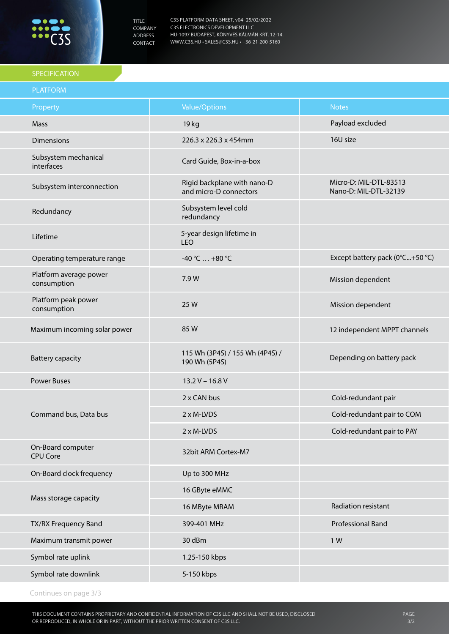

TITLE COMPANY ADDRESS CONTACT

C3S PLATFORM DATA SHEET, v04- 25/02/2022 C3S ELECTRONICS DEVELOPMENT LLC HU-1097 BUDAPEST, KÖNYVES KÁLMÁN KRT. 12-14. WWW.C3S.HU • SALES@C3S.HU • +36-21-200-5160

## **SPECIFICATION**

| <b>PLATFORM</b>                       |                                                       |                                                 |
|---------------------------------------|-------------------------------------------------------|-------------------------------------------------|
| Property                              | <b>Value/Options</b>                                  | <b>Notes</b>                                    |
| Mass                                  | 19 kg                                                 | Payload excluded                                |
| <b>Dimensions</b>                     | 226.3 x 226.3 x 454mm                                 | 16U size                                        |
| Subsystem mechanical<br>interfaces    | Card Guide, Box-in-a-box                              |                                                 |
| Subsystem interconnection             | Rigid backplane with nano-D<br>and micro-D connectors | Micro-D: MIL-DTL-83513<br>Nano-D: MIL-DTL-32139 |
| Redundancy                            | Subsystem level cold<br>redundancy                    |                                                 |
| Lifetime                              | 5-year design lifetime in<br><b>LEO</b>               |                                                 |
| Operating temperature range           | $-40 °C  +80 °C$                                      | Except battery pack (0°C+50 °C)                 |
| Platform average power<br>consumption | 7.9 W                                                 | Mission dependent                               |
| Platform peak power<br>consumption    | 25 W                                                  | Mission dependent                               |
| Maximum incoming solar power          | 85W                                                   | 12 independent MPPT channels                    |
| <b>Battery capacity</b>               | 115 Wh (3P4S) / 155 Wh (4P4S) /<br>190 Wh (5P4S)      | Depending on battery pack                       |
| <b>Power Buses</b>                    | $13.2 V - 16.8 V$                                     |                                                 |
| Command bus, Data bus                 | 2 x CAN bus                                           | Cold-redundant pair                             |
|                                       | 2 x M-LVDS                                            | Cold-redundant pair to COM                      |
|                                       | 2 x M-LVDS                                            | Cold-redundant pair to PAY                      |
| On-Board computer<br><b>CPU Core</b>  | 32bit ARM Cortex-M7                                   |                                                 |
| On-Board clock frequency              | Up to 300 MHz                                         |                                                 |
| Mass storage capacity                 | 16 GByte eMMC                                         |                                                 |
|                                       | 16 MByte MRAM                                         | Radiation resistant                             |
| TX/RX Frequency Band                  | 399-401 MHz                                           | <b>Professional Band</b>                        |
| Maximum transmit power                | 30 dBm                                                | 1 W                                             |
| Symbol rate uplink                    | 1.25-150 kbps                                         |                                                 |
| Symbol rate downlink                  | 5-150 kbps                                            |                                                 |
|                                       |                                                       |                                                 |

Continues on page 3/3